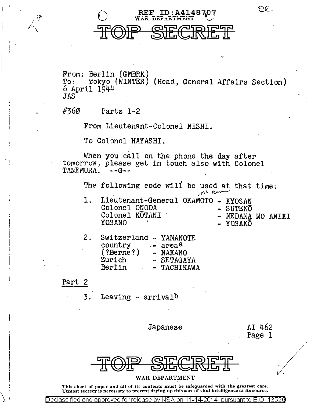

*11'*   $\overline{\mathscr{L}}\setminus$ 

'

**REF ID:A414870** 

WAR DEPARTMENT

From: Berlin (GMBRK)<br>To: Tokvo (WINTER) To: Tokyo (WINTER) (Head, General Affairs Section) 6 April 1944 JAS

#360 Parts 1-2

From Lieutenant-Colonel NISHI.

To Colonel HAYASHI.

When you call on the phone the day after to morrow, please get in touch also with Colonel TANEMURA.  $-$ -G--. TANEMURA.

> The following code will be used at that time: na Bern

1. Lieutenant-General OKAMOTO - KYOSAN Colonel ONODA - SUTEKO Colonel ONODA Colonel KOTANI<br>YOSANO

MEDAMA NO ANIKI

 $\Theta$ 

YOSAKO

| 2. | Switzerland - YAMANOTE |                       |
|----|------------------------|-----------------------|
|    | country                | $-$ area <sup>a</sup> |
|    | (?Berne? )             | - NAKANO              |
|    | Zurich                 | - SETAGAYA            |
|    | Berlin                 | - TACHIKAWA           |

Part 2

3. Leaving - arrival<sup>b</sup>

Japanese

AI 462 Page 1



WAR DEPARTMENT

This sheet of paper and all of its contents must be safeguarded with the greatest care. Utmost secrecy is necessary to prevent drying up this sort of vital intelligence at its source.

Declassified and <u>approved for release b</u>y